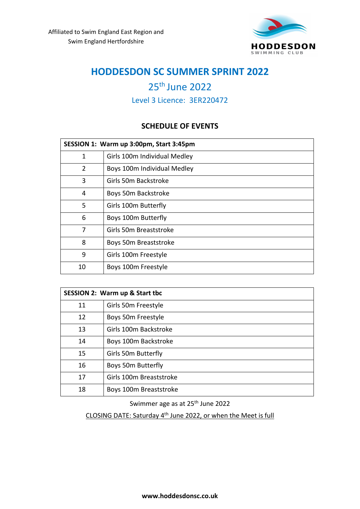

# th June 2022

Level 3 Licence: 3ER220472

### **SCHEDULE OF EVENTS**

| SESSION 1: Warm up 3:00pm, Start 3:45pm |                              |  |  |  |  |
|-----------------------------------------|------------------------------|--|--|--|--|
| 1                                       | Girls 100m Individual Medley |  |  |  |  |
| $\overline{2}$                          | Boys 100m Individual Medley  |  |  |  |  |
| 3                                       | Girls 50m Backstroke         |  |  |  |  |
| 4                                       | Boys 50m Backstroke          |  |  |  |  |
| 5                                       | Girls 100m Butterfly         |  |  |  |  |
| 6                                       | Boys 100m Butterfly          |  |  |  |  |
| 7                                       | Girls 50m Breaststroke       |  |  |  |  |
| 8                                       | Boys 50m Breaststroke        |  |  |  |  |
| 9                                       | Girls 100m Freestyle         |  |  |  |  |
| 10                                      | Boys 100m Freestyle          |  |  |  |  |

| <b>SESSION 2: Warm up &amp; Start tbc</b> |                         |  |  |  |  |
|-------------------------------------------|-------------------------|--|--|--|--|
| 11                                        | Girls 50m Freestyle     |  |  |  |  |
| 12                                        | Boys 50m Freestyle      |  |  |  |  |
| 13                                        | Girls 100m Backstroke   |  |  |  |  |
| 14                                        | Boys 100m Backstroke    |  |  |  |  |
| 15                                        | Girls 50m Butterfly     |  |  |  |  |
| 16                                        | Boys 50m Butterfly      |  |  |  |  |
| 17                                        | Girls 100m Breaststroke |  |  |  |  |
| 18                                        | Boys 100m Breaststroke  |  |  |  |  |

Swimmer age as at 25<sup>th</sup> June 2022

CLOSING DATE: Saturday 4<sup>th</sup> June 2022, or when the Meet is full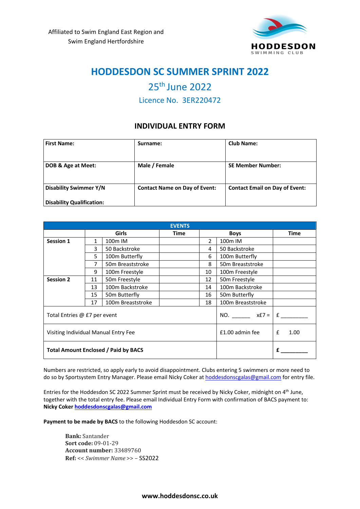

## 25th June 2022

Licence No. 3ER220472

### **INDIVIDUAL ENTRY FORM**

| <b>First Name:</b>               | Surname:                             | <b>Club Name:</b>                     |  |  |
|----------------------------------|--------------------------------------|---------------------------------------|--|--|
|                                  |                                      |                                       |  |  |
| DOB & Age at Meet:               | Male / Female                        | <b>SE Member Number:</b>              |  |  |
|                                  |                                      |                                       |  |  |
| <b>Disability Swimmer Y/N</b>    | <b>Contact Name on Day of Event:</b> | <b>Contact Email on Day of Event:</b> |  |  |
| <b>Disability Qualification:</b> |                                      |                                       |  |  |

| <b>EVENTS</b>                               |              |                   |                 |                      |                   |      |  |
|---------------------------------------------|--------------|-------------------|-----------------|----------------------|-------------------|------|--|
|                                             | <b>Girls</b> |                   | Time            | <b>Boys</b>          |                   | Time |  |
| <b>Session 1</b>                            | 1            | 100m IM           |                 | $\mathcal{P}$        | 100m IM           |      |  |
|                                             | 3            | 50 Backstroke     |                 | 4                    | 50 Backstroke     |      |  |
|                                             | 5            | 100m Butterfly    |                 | 6                    | 100m Butterfly    |      |  |
|                                             | 7            | 50m Breaststroke  |                 | 8                    | 50m Breaststroke  |      |  |
|                                             | 9            | 100m Freestyle    |                 | 10                   | 100m Freestyle    |      |  |
| <b>Session 2</b>                            | 11           | 50m Freestyle     |                 | 12                   | 50m Freestyle     |      |  |
|                                             | 13           | 100m Backstroke   |                 | 14                   | 100m Backstroke   |      |  |
|                                             | 15           | 50m Butterfly     |                 | 16                   | 50m Butterfly     |      |  |
|                                             | 17           | 100m Breaststroke |                 | 18                   | 100m Breaststroke |      |  |
| Total Entries @ £7 per event                |              |                   | NO. $xE7 =  E $ |                      |                   |      |  |
| Visiting Individual Manual Entry Fee        |              |                   | £1.00 admin fee | $\mathbf{f}$<br>1.00 |                   |      |  |
| <b>Total Amount Enclosed / Paid by BACS</b> |              |                   |                 |                      |                   | f    |  |

Numbers are restricted, so apply early to avoid disappointment. Clubs entering 5 swimmers or more need to do so by Sportsystem Entry Manager. Please email Nicky Coker at hoddesdonscgalas@gmail.com for entry file.

Entries for the Hoddesdon SC 2022 Summer Sprint must be received by Nicky Coker, midnight on 4<sup>th</sup> June, together with the total entry fee. Please email Individual Entry Form with confirmation of BACS payment to: **Nicky Coker hoddesdonscgalas@gmail.com** 

**Payment to be made by BACS** to the following Hoddesdon SC account:

**Bank:** Santander **Sort code:** 09-01-29 **Account number:** 33489760 **Ref:** << *Swimmer Name* >> – SS2022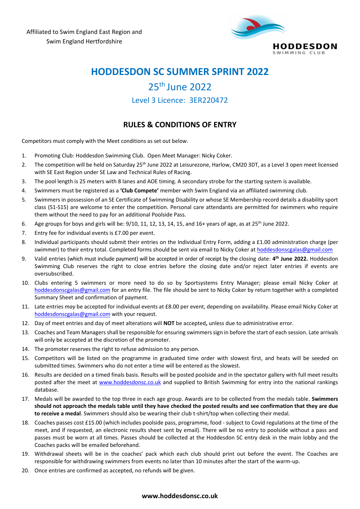

### 25th June 2022

Level 3 Licence: 3ER220472

### **RULES & CONDITIONS OF ENTRY**

Competitors must comply with the Meet conditions as set out below.

- 1. Promoting Club: Hoddesdon Swimming Club. Open Meet Manager: Nicky Coker.
- 2. The competition will be held on Saturday 25<sup>th</sup> June 2022 at Leisurezone, Harlow, CM20 3DT, as a Level 3 open meet licensed with SE East Region under SE Law and Technical Rules of Racing.
- 3. The pool length is 25 meters with 8 lanes and AOE timing. A secondary strobe for the starting system is available.
- 4. Swimmers must be registered as a **'Club Compete'** member with Swim England via an affiliated swimming club.
- 5. Swimmers in possession of an SE Certificate of Swimming Disability or whose SE Membership record details a disability sport class (S1-S15) are welcome to enter the competition. Personal care attendants are permitted for swimmers who require them without the need to pay for an additional Poolside Pass.
- 6. Age groups for boys and girls will be:  $9/10$ , 11, 12, 13, 14, 15, and 16+ years of age, as at 25<sup>th</sup> June 2022.
- 7. Entry fee for individual events is £7.00 per event.
- 8. Individual participants should submit their entries on the Individual Entry Form, adding a £1.00 administration charge (per swimmer) to their entry total. Completed forms should be sent via email to Nicky Coker at hoddesdonscgalas@gmail.com
- 9. Valid entries (which must include payment) will be accepted in order of receipt by the closing date: **4 th June 2022.** Hoddesdon Swimming Club reserves the right to close entries before the closing date and/or reject later entries if events are oversubscribed.
- 10. Clubs entering 5 swimmers or more need to do so by Sportsystems Entry Manager; please email Nicky Coker at hoddesdonscgalas@gmail.com for an entry file. The file should be sent to Nicky Coker by return together with a completed Summary Sheet and confirmation of payment.
- 11. Late entries *may* be accepted for individual events at £8.00 per event, depending on availability. Please email Nicky Coker at hoddesdonscgalas@gmail.com with your request.
- 12. Day of meet entries and day of meet alterations will **NOT** be accepted**,** unless due to administrative error.
- 13. Coaches and Team Managers shall be responsible for ensuring swimmers sign in before the start of each session. Late arrivals will only be accepted at the discretion of the promoter.
- 14. The promoter reserves the right to refuse admission to any person.
- 15. Competitors will be listed on the programme in graduated time order with slowest first, and heats will be seeded on submitted times. Swimmers who do not enter a time will be entered as the slowest.
- 16. Results are decided on a timed finals basis. Results will be posted poolside and in the spectator gallery with full meet results posted after the meet at www.hoddesdonsc.co.uk and supplied to British Swimming for entry into the national rankings database.
- 17. Medals will be awarded to the top three in each age group. Awards are to be collected from the medals table. **Swimmers should not approach the medals table until they have checked the posted results and see confirmation that they are due to receive a medal**. Swimmers should also be wearing their club t-shirt/top when collecting their medal.
- 18. Coaches passes cost £15.00 (which includes poolside pass, programme, food subject to Covid regulations at the time of the meet, and if requested, an electronic results sheet sent by email). There will be no entry to poolside without a pass and passes must be worn at all times. Passes should be collected at the Hoddesdon SC entry desk in the main lobby and the Coaches packs will be emailed beforehand.
- 19. Withdrawal sheets will be in the coaches' pack which each club should print out before the event. The Coaches are responsible for withdrawing swimmers from events no later than 10 minutes after the start of the warm-up.
- 20. Once entries are confirmed as accepted, no refunds will be given.

#### **www.hoddesdonsc.co.uk**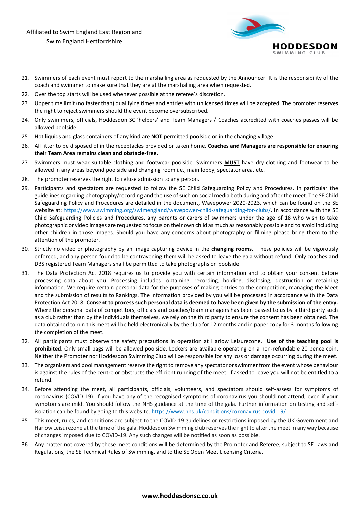Affiliated to Swim England East Region and Swim England Hertfordshire



- 21. Swimmers of each event must report to the marshalling area as requested by the Announcer. It is the responsibility of the coach and swimmer to make sure that they are at the marshalling area when requested.
- 22. Over the top starts will be used whenever possible at the referee's discretion.
- 23. Upper time limit (no faster than) qualifying times and entries with unlicensed times will be accepted. The promoter reserves the right to reject swimmers should the event become oversubscribed.
- 24. Only swimmers, officials, Hoddesdon SC 'helpers' and Team Managers / Coaches accredited with coaches passes will be allowed poolside.
- 25. Hot liquids and glass containers of any kind are **NOT** permitted poolside or in the changing village.
- 26. All litter to be disposed of in the receptacles provided or taken home. **Coaches and Managers are responsible for ensuring their Team Area remains clean and obstacle-free.**
- 27. Swimmers must wear suitable clothing and footwear poolside. Swimmers **MUST** have dry clothing and footwear to be allowed in any areas beyond poolside and changing room i.e., main lobby, spectator area, etc.
- 28. The promoter reserves the right to refuse admission to any person.
- 29. Participants and spectators are requested to follow the SE Child Safeguarding Policy and Procedures. In particular the guidelines regarding photography/recording and the use of such on social media both during and after the meet. The SE Child Safeguarding Policy and Procedures are detailed in the document, Wavepower 2020-2023, which can be found on the SE website at: https://www.swimming.org/swimengland/wavepower-child-safeguarding-for-clubs/. In accordance with the SE Child Safeguarding Policies and Procedures, any parents or carers of swimmers under the age of 18 who wish to take photographic or video images are requested to focus on their own child as much as reasonably possible and to avoid including other children in those images. Should you have any concerns about photography or filming please bring them to the attention of the promoter.
- 30. Strictly no video or photography by an image capturing device in the **changing rooms**. These policies will be vigorously enforced, and any person found to be contravening them will be asked to leave the gala without refund. Only coaches and DBS registered Team Managers shall be permitted to take photographs on poolside.
- 31. The Data Protection Act 2018 requires us to provide you with certain information and to obtain your consent before processing data about you. Processing includes: obtaining, recording, holding, disclosing, destruction or retaining information. We require certain personal data for the purposes of making entries to the competition, managing the Meet and the submission of results to Rankings. The information provided by you will be processed in accordance with the Data Protection Act 2018. **Consent to process such personal data is deemed to have been given by the submission of the entry.** Where the personal data of competitors, officials and coaches/team managers has been passed to us by a third party such as a club rather than by the individuals themselves, we rely on the third party to ensure the consent has been obtained. The data obtained to run this meet will be held electronically by the club for 12 months and in paper copy for 3 months following the completion of the meet.
- 32. All participants must observe the safety precautions in operation at Harlow Leisurezone. **Use of the teaching pool is prohibited**. Only small bags will be allowed poolside. Lockers are available operating on a non-refundable 20 pence coin. Neither the Promoter nor Hoddesdon Swimming Club will be responsible for any loss or damage occurring during the meet.
- 33. The organisers and pool management reserve the right to remove any spectator or swimmer from the event whose behaviour is against the rules of the centre or obstructs the efficient running of the meet. If asked to leave you will not be entitled to a refund.
- 34. Before attending the meet, all participants, officials, volunteers, and spectators should self-assess for symptoms of coronavirus (COVID-19). If you have any of the recognised symptoms of coronavirus you should not attend, even if your symptoms are mild. You should follow the NHS guidance at the time of the gala. Further information on testing and selfisolation can be found by going to this website: https://www.nhs.uk/conditions/coronavirus-covid-19/
- 35. This meet, rules, and conditions are subject to the COVID-19 guidelines or restrictions imposed by the UK Government and Harlow Leisurezone at the time of the gala. Hoddesdon Swimming club reserves the right to alter the meet in any way because of changes imposed due to COVID-19. Any such changes will be notified as soon as possible.
- 36. Any matter not covered by these meet conditions will be determined by the Promoter and Referee, subject to SE Laws and Regulations, the SE Technical Rules of Swimming, and to the SE Open Meet Licensing Criteria.